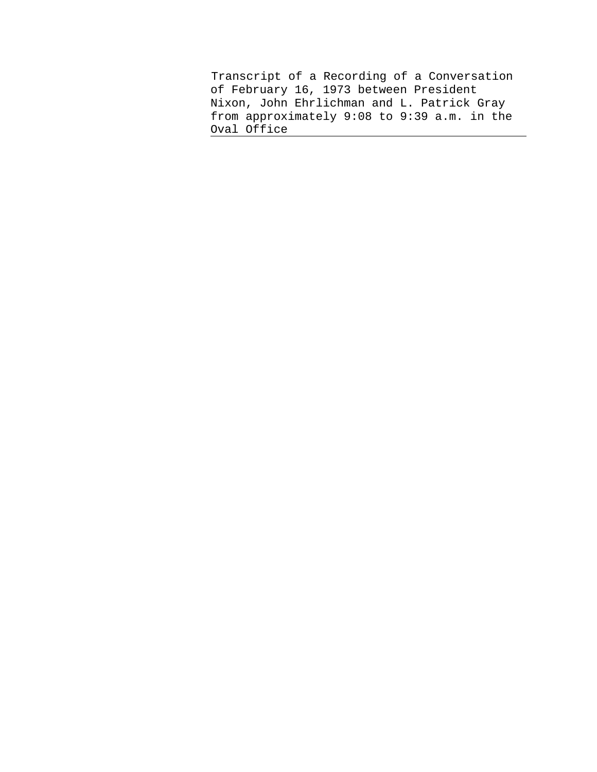Transcript of a Recording of a Conversation of February 16, 1973 between President Nixon, John Ehrlichman and L. Patrick Gray from approximately 9:08 to 9:39 a.m. in the Oval Office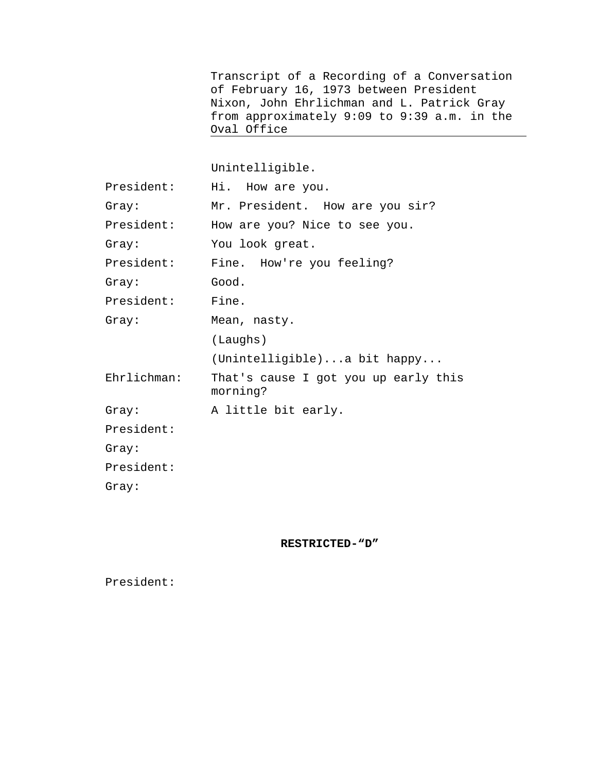Transcript of a Recording of a Conversation of February 16, 1973 between President Nixon, John Ehrlichman and L. Patrick Gray from approximately 9:09 to 9:39 a.m. in the Oval Office 

Unintelligible.

| President:  | Hi. How are you.                                 |
|-------------|--------------------------------------------------|
| Gray:       | Mr. President. How are you sir?                  |
| President:  | How are you? Nice to see you.                    |
| Gray:       | You look great.                                  |
| President:  | Fine. How're you feeling?                        |
| Gray:       | Good.                                            |
| President:  | Fine.                                            |
| Gray:       | Mean, nasty.                                     |
|             | (Laughs)                                         |
|             | (Unintelligible)a bit happy                      |
| Ehrlichman: | That's cause I got you up early this<br>morning? |
| Gray:       | A little bit early.                              |
| President:  |                                                  |
| Gray:       |                                                  |
| President:  |                                                  |
| Gray:       |                                                  |

**RESTRICTED-"D"**

President: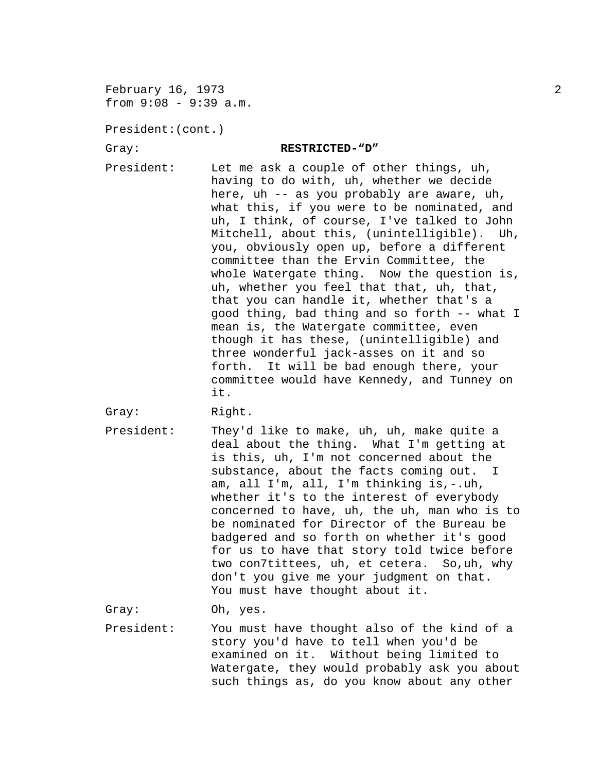February 16, 1973 2 from 9:08 - 9:39 a.m.

President:(cont.)

## Gray: **RESTRICTED-"D"**

- President: Let me ask a couple of other things, uh, having to do with, uh, whether we decide here, uh -- as you probably are aware, uh, what this, if you were to be nominated, and uh, I think, of course, I've talked to John Mitchell, about this, (unintelligible). Uh, you, obviously open up, before a different committee than the Ervin Committee, the whole Watergate thing. Now the question is, uh, whether you feel that that, uh, that, that you can handle it, whether that's a good thing, bad thing and so forth -- what I mean is, the Watergate committee, even though it has these, (unintelligible) and three wonderful jack-asses on it and so forth. It will be bad enough there, your committee would have Kennedy, and Tunney on it.
- Gray: Right.
- President: They'd like to make, uh, uh, make quite a deal about the thing. What I'm getting at is this, uh, I'm not concerned about the substance, about the facts coming out. I am, all I'm, all, I'm thinking is,-.uh, whether it's to the interest of everybody concerned to have, uh, the uh, man who is to be nominated for Director of the Bureau be badgered and so forth on whether it's good for us to have that story told twice before two con7tittees, uh, et cetera. So,uh, why don't you give me your judgment on that. You must have thought about it.

Gray: Oh, yes.

President: You must have thought also of the kind of a story you'd have to tell when you'd be examined on it. Without being limited to Watergate, they would probably ask you about such things as, do you know about any other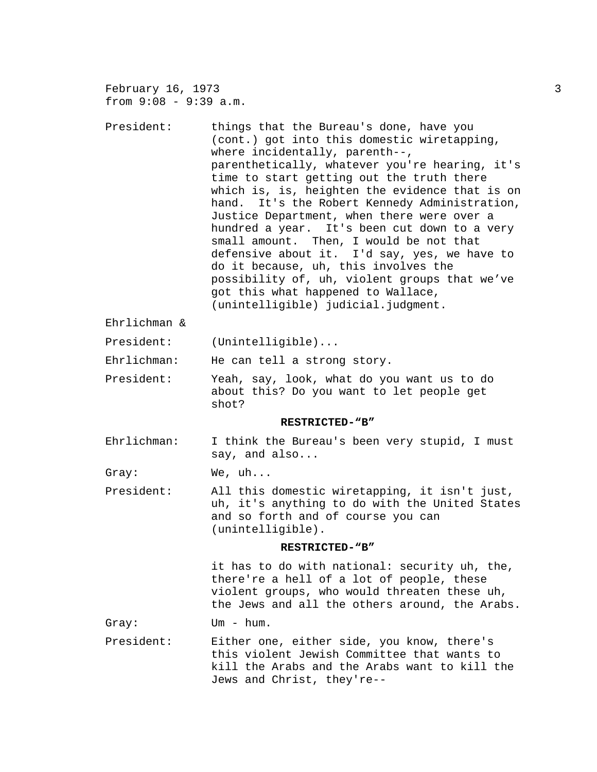February 16, 1973 3 from 9:08 - 9:39 a.m. President: things that the Bureau's done, have you (cont.) got into this domestic wiretapping, where incidentally, parenth--, parenthetically, whatever you're hearing, it's time to start getting out the truth there which is, is, heighten the evidence that is on hand. It's the Robert Kennedy Administration, Justice Department, when there were over a hundred a year. It's been cut down to a very small amount. Then, I would be not that defensive about it. I'd say, yes, we have to do it because, uh, this involves the possibility of, uh, violent groups that we've got this what happened to Wallace, (unintelligible) judicial.judgment. Ehrlichman & President: (Unintelligible)... Ehrlichman: He can tell a strong story. President: Yeah, say, look, what do you want us to do about this? Do you want to let people get shot? **RESTRICTED-"B"** Ehrlichman: I think the Bureau's been very stupid, I must say, and also... Gray: We, uh... President: All this domestic wiretapping, it isn't just, uh, it's anything to do with the United States and so forth and of course you can (unintelligible). **RESTRICTED-"B"** it has to do with national: security uh, the, there're a hell of a lot of people, these violent groups, who would threaten these uh, the Jews and all the others around, the Arabs. Gray: Um - hum. President: Either one, either side, you know, there's this violent Jewish Committee that wants to kill the Arabs and the Arabs want to kill the Jews and Christ, they're--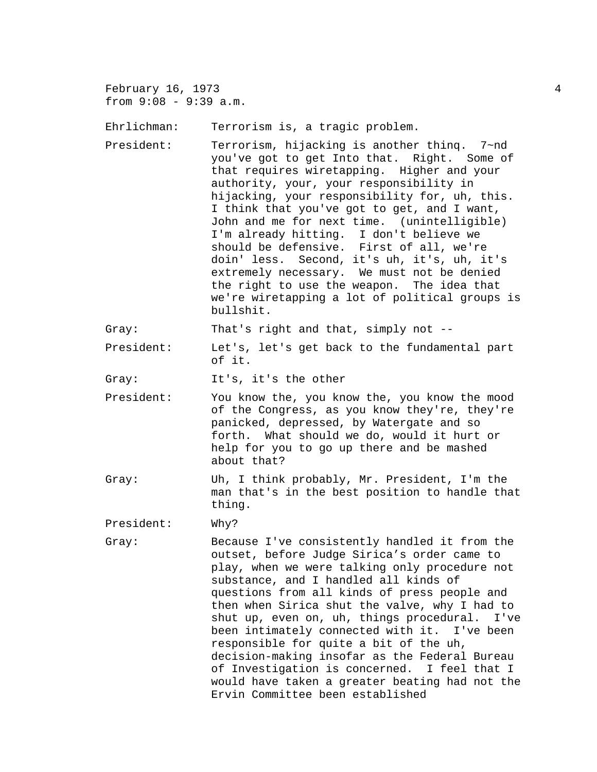February 16, 1973  $\overline{a}$ from 9:08 - 9:39 a.m.

Ehrlichman: Terrorism is, a tragic problem.

President: Terrorism, hijacking is another thinq. 7~nd you've got to get Into that. Right. Some of that requires wiretapping. Higher and your authority, your, your responsibility in hijacking, your responsibility for, uh, this. I think that you've got to get, and I want, John and me for next time. (unintelligible) I'm already hitting. I don't believe we should be defensive. First of all, we're doin' less. Second, it's uh, it's, uh, it's extremely necessary. We must not be denied the right to use the weapon. The idea that we're wiretapping a lot of political groups is bullshit.

Gray: That's right and that, simply not --

President: Let's, let's get back to the fundamental part of it.

Gray: It's, it's the other

- President: You know the, you know the, you know the mood of the Congress, as you know they're, they're panicked, depressed, by Watergate and so forth. What should we do, would it hurt or help for you to go up there and be mashed about that?
- Gray: Uh, I think probably, Mr. President, I'm the man that's in the best position to handle that thing.

President: Why?

Gray: Because I've consistently handled it from the outset, before Judge Sirica's order came to play, when we were talking only procedure not substance, and I handled all kinds of questions from all kinds of press people and then when Sirica shut the valve, why I had to shut up, even on, uh, things procedural. I've been intimately connected with it. I've been responsible for quite a bit of the uh, decision-making insofar as the Federal Bureau of Investigation is concerned. I feel that I would have taken a greater beating had not the Ervin Committee been established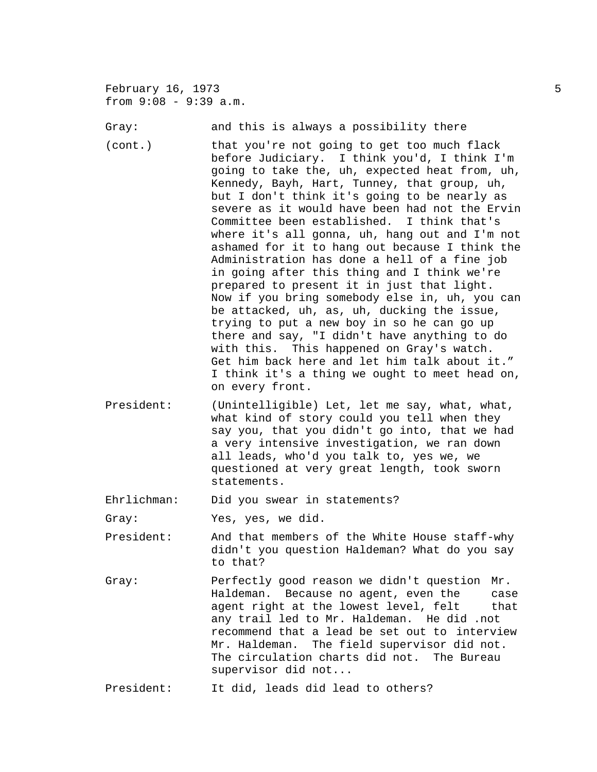February 16, 1973 5 from 9:08 - 9:39 a.m.

Gray: The and this is always a possibility there

- (cont.) that you're not going to get too much flack before Judiciary. I think you'd, I think I'm going to take the, uh, expected heat from, uh, Kennedy, Bayh, Hart, Tunney, that group, uh, but I don't think it's going to be nearly as severe as it would have been had not the Ervin Committee been established. I think that's where it's all gonna, uh, hang out and I'm not ashamed for it to hang out because I think the Administration has done a hell of a fine job in going after this thing and I think we're prepared to present it in just that light. Now if you bring somebody else in, uh, you can be attacked, uh, as, uh, ducking the issue, trying to put a new boy in so he can go up there and say, "I didn't have anything to do with this. This happened on Gray's watch. Get him back here and let him talk about it." I think it's a thing we ought to meet head on, on every front.
- President: (Unintelligible) Let, let me say, what, what, what kind of story could you tell when they say you, that you didn't go into, that we had a very intensive investigation, we ran down all leads, who'd you talk to, yes we, we questioned at very great length, took sworn statements.

Ehrlichman: Did you swear in statements?

Gray: Yes, yes, we did.

- President: And that members of the White House staff-why didn't you question Haldeman? What do you say to that?
- Gray: Perfectly good reason we didn't question Mr. Haldeman. Because no agent, even the case agent right at the lowest level, felt that any trail led to Mr. Haldeman. He did .not recommend that a lead be set out to interview Mr. Haldeman. The field supervisor did not. The circulation charts did not. The Bureau supervisor did not...

President: It did, leads did lead to others?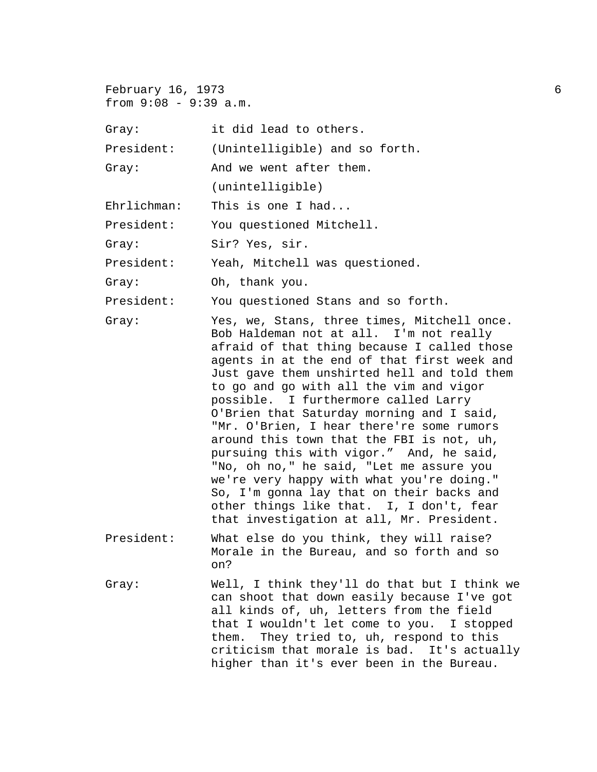February 16, 1973 6 from  $9:08 - 9:39$  a.m.

| Gray:       | it did lead to others.                                                                                                                                                                                                                                                                                                                                                                                                                                                                                                                                                                                                                                                                                                                   |
|-------------|------------------------------------------------------------------------------------------------------------------------------------------------------------------------------------------------------------------------------------------------------------------------------------------------------------------------------------------------------------------------------------------------------------------------------------------------------------------------------------------------------------------------------------------------------------------------------------------------------------------------------------------------------------------------------------------------------------------------------------------|
| President:  | (Unintelligible) and so forth.                                                                                                                                                                                                                                                                                                                                                                                                                                                                                                                                                                                                                                                                                                           |
| Gray:       | And we went after them.                                                                                                                                                                                                                                                                                                                                                                                                                                                                                                                                                                                                                                                                                                                  |
|             | (unintelligible)                                                                                                                                                                                                                                                                                                                                                                                                                                                                                                                                                                                                                                                                                                                         |
| Ehrlichman: | This is one I had                                                                                                                                                                                                                                                                                                                                                                                                                                                                                                                                                                                                                                                                                                                        |
| President:  | You questioned Mitchell.                                                                                                                                                                                                                                                                                                                                                                                                                                                                                                                                                                                                                                                                                                                 |
| Gray:       | Sir? Yes, sir.                                                                                                                                                                                                                                                                                                                                                                                                                                                                                                                                                                                                                                                                                                                           |
| President:  | Yeah, Mitchell was questioned.                                                                                                                                                                                                                                                                                                                                                                                                                                                                                                                                                                                                                                                                                                           |
| Gray:       | Oh, thank you.                                                                                                                                                                                                                                                                                                                                                                                                                                                                                                                                                                                                                                                                                                                           |
| President:  | You questioned Stans and so forth.                                                                                                                                                                                                                                                                                                                                                                                                                                                                                                                                                                                                                                                                                                       |
| Gray:       | Yes, we, Stans, three times, Mitchell once.<br>Bob Haldeman not at all. I'm not really<br>afraid of that thing because I called those<br>agents in at the end of that first week and<br>Just gave them unshirted hell and told them<br>to go and go with all the vim and vigor<br>possible. I furthermore called Larry<br>O'Brien that Saturday morning and I said,<br>"Mr. O'Brien, I hear there're some rumors<br>around this town that the FBI is not, uh,<br>pursuing this with vigor." And, he said,<br>"No, oh no," he said, "Let me assure you<br>we're very happy with what you're doing."<br>So, I'm gonna lay that on their backs and<br>other things like that. I, I don't, fear<br>that investigation at all, Mr. President. |
| President:  | What else do you think, they will raise?<br>Morale in the Bureau, and so forth and so<br>on?                                                                                                                                                                                                                                                                                                                                                                                                                                                                                                                                                                                                                                             |
| Gray:       | Well, I think they'll do that but I think we<br>can shoot that down easily because I've got<br>all kinds of, uh, letters from the field<br>that I wouldn't let come to you. I stopped<br>them. They tried to, uh, respond to this<br>criticism that morale is bad. It's actually<br>higher than it's ever been in the Bureau.                                                                                                                                                                                                                                                                                                                                                                                                            |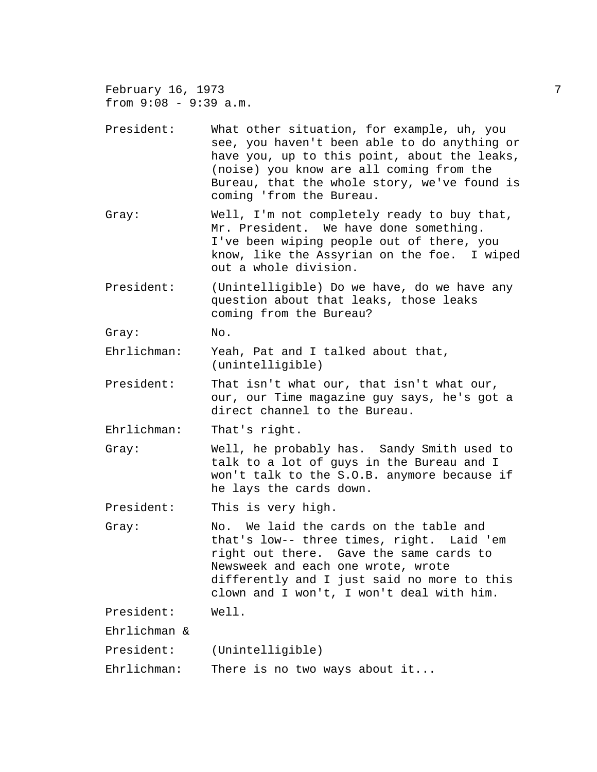February 16, 1973 7 from  $9:08 - 9:39$  a.m. President: What other situation, for example, uh, you see, you haven't been able to do anything or have you, up to this point, about the leaks, (noise) you know are all coming from the Bureau, that the whole story, we've found is coming 'from the Bureau. Gray: Well, I'm not completely ready to buy that, Mr. President. We have done something. I've been wiping people out of there, you know, like the Assyrian on the foe. I wiped out a whole division. President: (Unintelligible) Do we have, do we have any question about that leaks, those leaks coming from the Bureau? Gray: No. Ehrlichman: Yeah, Pat and I talked about that, (unintelligible) President: That isn't what our, that isn't what our, our, our Time magazine guy says, he's got a direct channel to the Bureau. Ehrlichman: That's right. Gray: Well, he probably has. Sandy Smith used to talk to a lot of guys in the Bureau and I won't talk to the S.O.B. anymore because if he lays the cards down. President: This is very high. Gray: No. We laid the cards on the table and that's low-- three times, right. Laid 'em right out there. Gave the same cards to Newsweek and each one wrote, wrote differently and I just said no more to this clown and I won't, I won't deal with him. President: Well. Ehrlichman & President: (Unintelligible) Ehrlichman: There is no two ways about it...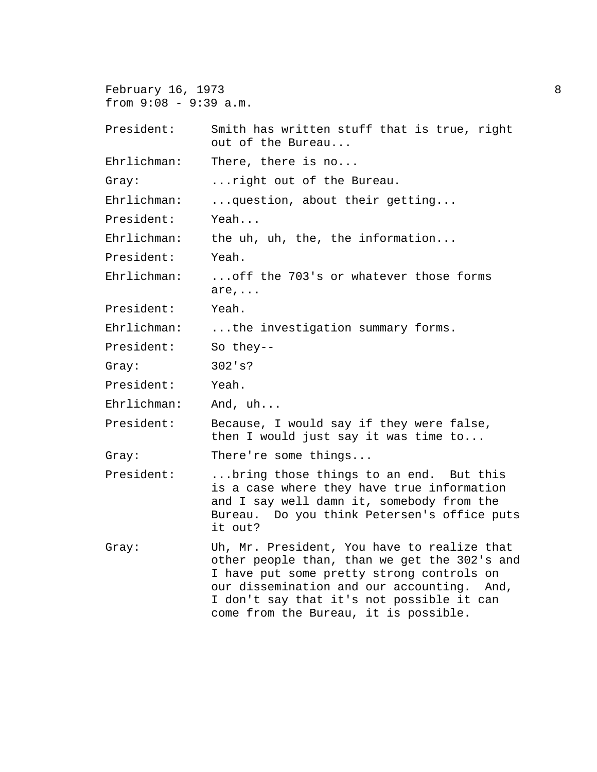February 16, 1973 8 from 9:08 - 9:39 a.m. President: Smith has written stuff that is true, right out of the Bureau... Ehrlichman: There, there is no... Gray: ...right out of the Bureau. Ehrlichman: ...question, about their getting... President: Yeah... Ehrlichman: the uh, uh, the, the information... President: Yeah. Ehrlichman: ...off the 703's or whatever those forms are,... President: Yeah. Ehrlichman: ...the investigation summary forms. President: So they-- Gray: 302's? President: Yeah. Ehrlichman: And, uh... President: Because, I would say if they were false, then I would just say it was time to... Gray: There're some things... President: ...bring those things to an end. But this is a case where they have true information and I say well damn it, somebody from the Bureau. Do you think Petersen's office puts it out? Gray: Uh, Mr. President, You have to realize that other people than, than we get the 302's and I have put some pretty strong controls on our dissemination and our accounting. And, I don't say that it's not possible it can come from the Bureau, it is possible.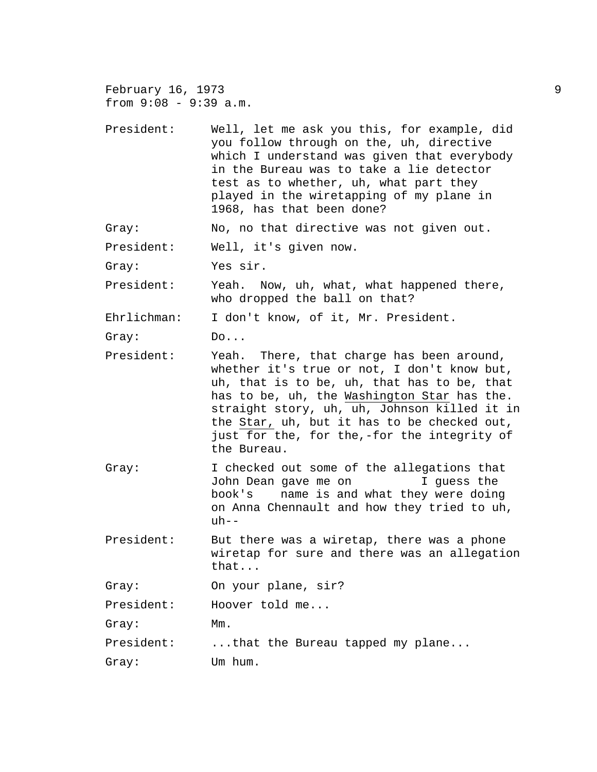February 16, 1973 9 from 9:08 - 9:39 a.m.

President: Well, let me ask you this, for example, did you follow through on the, uh, directive which I understand was given that everybody in the Bureau was to take a lie detector test as to whether, uh, what part they played in the wiretapping of my plane in 1968, has that been done?

Gray: No, no that directive was not given out.

President: Well, it's given now.

Gray: Yes sir.

President: Yeah. Now, uh, what, what happened there, who dropped the ball on that?

Ehrlichman: I don't know, of it, Mr. President.

Gray: Do...

- President: Yeah. There, that charge has been around, whether it's true or not, I don't know but, uh, that is to be, uh, that has to be, that has to be, uh, the Washington Star has the. straight story, uh, uh, Johnson killed it in the Star, uh, but it has to be checked out, just for the, for the,-for the integrity of the Bureau.
- Gray: I checked out some of the allegations that John Dean gave me on I guess the book's name is and what they were doing on Anna Chennault and how they tried to uh,  $uh--$
- President: But there was a wiretap, there was a phone wiretap for sure and there was an allegation that...

Gray: On your plane, sir?

President: Hoover told me...

Gray: Mm.

President: ...that the Bureau tapped my plane...

Gray: Um hum.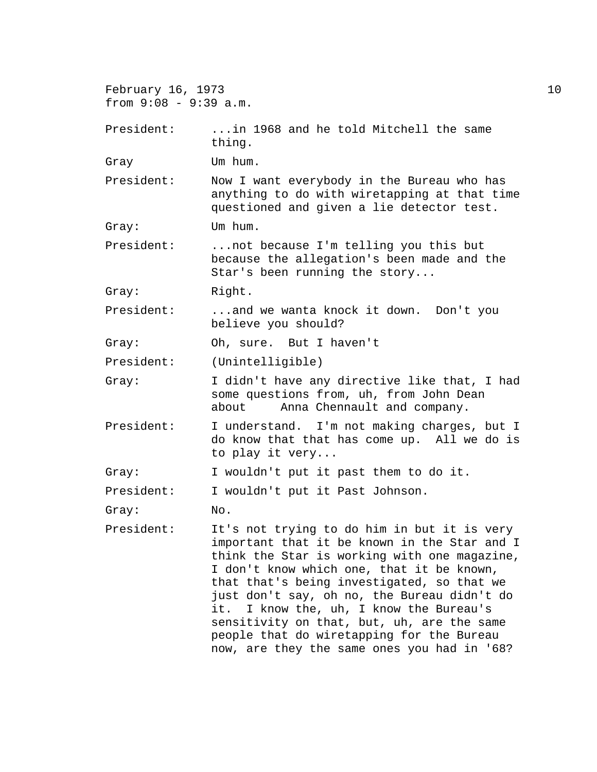February 16, 1973 10 from 9:08 - 9:39 a.m. President: ...in 1968 and he told Mitchell the same thing. Gray Um hum. President: Now I want everybody in the Bureau who has anything to do with wiretapping at that time questioned and given a lie detector test. Gray: Um hum. President: ...not because I'm telling you this but because the allegation's been made and the Star's been running the story... Gray: Right. President: ...and we wanta knock it down. Don't you believe you should? Gray: Oh, sure. But I haven't President: (Unintelligible) Gray: I didn't have any directive like that, I had some questions from, uh, from John Dean about Anna Chennault and company. President: I understand. I'm not making charges, but I do know that that has come up. All we do is to play it very... Gray: I wouldn't put it past them to do it. President: I wouldn't put it Past Johnson. Gray: No. President: It's not trying to do him in but it is very important that it be known in the Star and I think the Star is working with one magazine, I don't know which one, that it be known, that that's being investigated, so that we just don't say, oh no, the Bureau didn't do it. I know the, uh, I know the Bureau's sensitivity on that, but, uh, are the same people that do wiretapping for the Bureau now, are they the same ones you had in '68?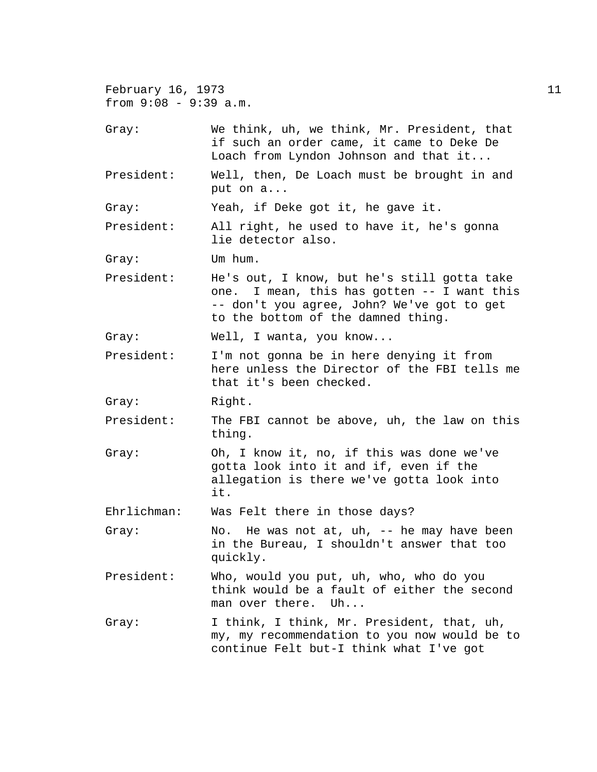February 16, 1973 11 from 9:08 - 9:39 a.m. Gray: We think, uh, we think, Mr. President, that if such an order came, it came to Deke De Loach from Lyndon Johnson and that it... President: Well, then, De Loach must be brought in and put on a... Gray: Yeah, if Deke got it, he gave it. President: All right, he used to have it, he's gonna lie detector also. Gray: Um hum. President: He's out, I know, but he's still gotta take one. I mean, this has gotten -- I want this -- don't you agree, John? We've got to get to the bottom of the damned thing. Gray: Well, I wanta, you know... President: I'm not gonna be in here denying it from here unless the Director of the FBI tells me that it's been checked. Gray: Right. President: The FBI cannot be above, uh, the law on this thing. Gray: Oh, I know it, no, if this was done we've gotta look into it and if, even if the allegation is there we've gotta look into it. Ehrlichman: Was Felt there in those days? Gray: No. He was not at, uh, -- he may have been in the Bureau, I shouldn't answer that too quickly. President: Who, would you put, uh, who, who do you think would be a fault of either the second man over there. Uh... Gray: I think, I think, Mr. President, that, uh, my, my recommendation to you now would be to continue Felt but-I think what I've got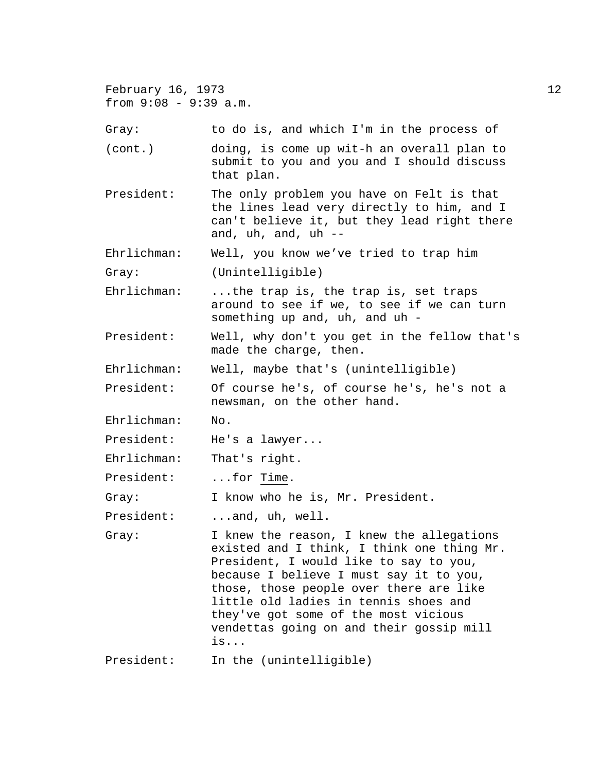| February 16, 1973<br>from $9:08 - 9:39$ a.m. |                                                                                                                                                                                                                                                                                                                                                            | 12 |
|----------------------------------------------|------------------------------------------------------------------------------------------------------------------------------------------------------------------------------------------------------------------------------------------------------------------------------------------------------------------------------------------------------------|----|
| Gray:                                        | to do is, and which I'm in the process of                                                                                                                                                                                                                                                                                                                  |    |
| (cont.)                                      | doing, is come up wit-h an overall plan to<br>submit to you and you and I should discuss<br>that plan.                                                                                                                                                                                                                                                     |    |
| President:                                   | The only problem you have on Felt is that<br>the lines lead very directly to him, and I<br>can't believe it, but they lead right there<br>and, uh, and, uh --                                                                                                                                                                                              |    |
| Ehrlichman:                                  | Well, you know we've tried to trap him                                                                                                                                                                                                                                                                                                                     |    |
| Gray:                                        | (Unintelligible)                                                                                                                                                                                                                                                                                                                                           |    |
| Ehrlichman:                                  | the trap is, the trap is, set traps<br>around to see if we, to see if we can turn<br>something up and, uh, and uh -                                                                                                                                                                                                                                        |    |
| President:                                   | Well, why don't you get in the fellow that's<br>made the charge, then.                                                                                                                                                                                                                                                                                     |    |
| Ehrlichman:                                  | Well, maybe that's (unintelligible)                                                                                                                                                                                                                                                                                                                        |    |
| President:                                   | Of course he's, of course he's, he's not a<br>newsman, on the other hand.                                                                                                                                                                                                                                                                                  |    |
| Ehrlichman:                                  | No.                                                                                                                                                                                                                                                                                                                                                        |    |
| President:                                   | He's a lawyer                                                                                                                                                                                                                                                                                                                                              |    |
| Ehrlichman:                                  | That's right.                                                                                                                                                                                                                                                                                                                                              |    |
| President:                                   | $\ldots$ for Time.                                                                                                                                                                                                                                                                                                                                         |    |
| Gray:                                        | I know who he is, Mr. President.                                                                                                                                                                                                                                                                                                                           |    |
| President:                                   | $\ldots$ and, uh, well.                                                                                                                                                                                                                                                                                                                                    |    |
| Gray:                                        | I knew the reason, I knew the allegations<br>existed and I think, I think one thing Mr.<br>President, I would like to say to you,<br>because I believe I must say it to you,<br>those, those people over there are like<br>little old ladies in tennis shoes and<br>they've got some of the most vicious<br>vendettas going on and their gossip mill<br>is |    |
| President:                                   | In the (unintelligible)                                                                                                                                                                                                                                                                                                                                    |    |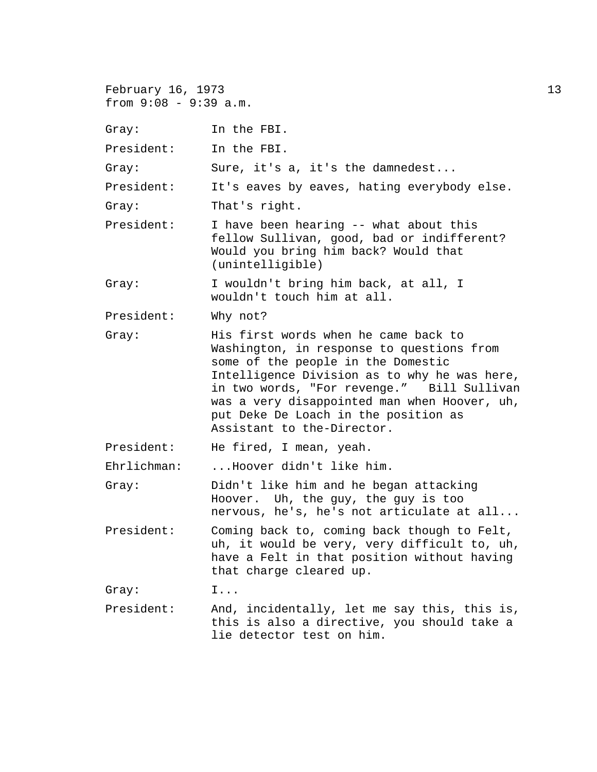| February 16, 1973<br>from $9:08 - 9:39$ a.m. |                                                                                                                                                                                                                                                                                                                                             | 13 |
|----------------------------------------------|---------------------------------------------------------------------------------------------------------------------------------------------------------------------------------------------------------------------------------------------------------------------------------------------------------------------------------------------|----|
| Gray:                                        | In the FBI.                                                                                                                                                                                                                                                                                                                                 |    |
| President:                                   | In the FBI.                                                                                                                                                                                                                                                                                                                                 |    |
| Gray:                                        | Sure, it's a, it's the damnedest                                                                                                                                                                                                                                                                                                            |    |
| President:                                   | It's eaves by eaves, hating everybody else.                                                                                                                                                                                                                                                                                                 |    |
| Gray:                                        | That's right.                                                                                                                                                                                                                                                                                                                               |    |
| President:                                   | I have been hearing -- what about this<br>fellow Sullivan, good, bad or indifferent?<br>Would you bring him back? Would that<br>(unintelligible)                                                                                                                                                                                            |    |
| Gray:                                        | I wouldn't bring him back, at all, I<br>wouldn't touch him at all.                                                                                                                                                                                                                                                                          |    |
| President:                                   | Why not?                                                                                                                                                                                                                                                                                                                                    |    |
| Gray:                                        | His first words when he came back to<br>Washington, in response to questions from<br>some of the people in the Domestic<br>Intelligence Division as to why he was here,<br>in two words, "For revenge." Bill Sullivan<br>was a very disappointed man when Hoover, uh,<br>put Deke De Loach in the position as<br>Assistant to the-Director. |    |
| President:                                   | He fired, I mean, yeah.                                                                                                                                                                                                                                                                                                                     |    |
| Ehrlichman:                                  | Hoover didn't like him.                                                                                                                                                                                                                                                                                                                     |    |
| Gray:                                        | Didn't like him and he began attacking<br>Hoover. Uh, the guy, the guy is too<br>nervous, he's, he's not articulate at all                                                                                                                                                                                                                  |    |
| President:                                   | Coming back to, coming back though to Felt,<br>uh, it would be very, very difficult to, uh,<br>have a Felt in that position without having<br>that charge cleared up.                                                                                                                                                                       |    |
| Gray:                                        | $I \ldots$                                                                                                                                                                                                                                                                                                                                  |    |
| President:                                   | And, incidentally, let me say this, this is,<br>this is also a directive, you should take a<br>lie detector test on him.                                                                                                                                                                                                                    |    |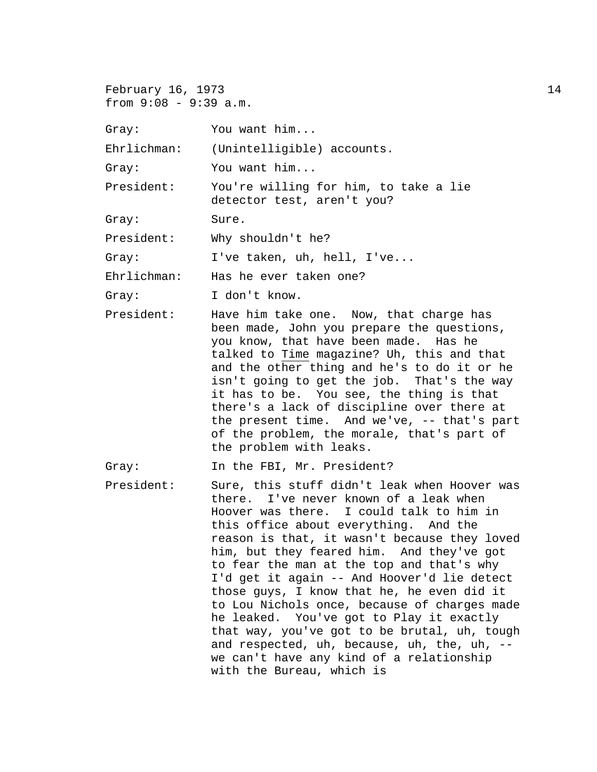February 16, 1973 14 from 9:08 - 9:39 a.m.

Gray: You want him...

Ehrlichman: (Unintelligible) accounts.

Gray: You want him...

President: You're willing for him, to take a lie detector test, aren't you?

Gray: Sure.

President: Why shouldn't he?

Gray: I've taken, uh, hell, I've...

Ehrlichman: Has he ever taken one?

Gray: I don't know.

President: Have him take one. Now, that charge has been made, John you prepare the questions, you know, that have been made. Has he talked to Time magazine? Uh, this and that and the other thing and he's to do it or he isn't going to get the job. That's the way it has to be. You see, the thing is that there's a lack of discipline over there at the present time. And we've, -- that's part of the problem, the morale, that's part of the problem with leaks.

Gray: In the FBI, Mr. President?

President: Sure, this stuff didn't leak when Hoover was there. I've never known of a leak when Hoover was there. I could talk to him in this office about everything. And the reason is that, it wasn't because they loved him, but they feared him. And they've got to fear the man at the top and that's why I'd get it again -- And Hoover'd lie detect those guys, I know that he, he even did it to Lou Nichols once, because of charges made he leaked. You've got to Play it exactly that way, you've got to be brutal, uh, tough and respected, uh, because, uh, the, uh, - we can't have any kind of a relationship with the Bureau, which is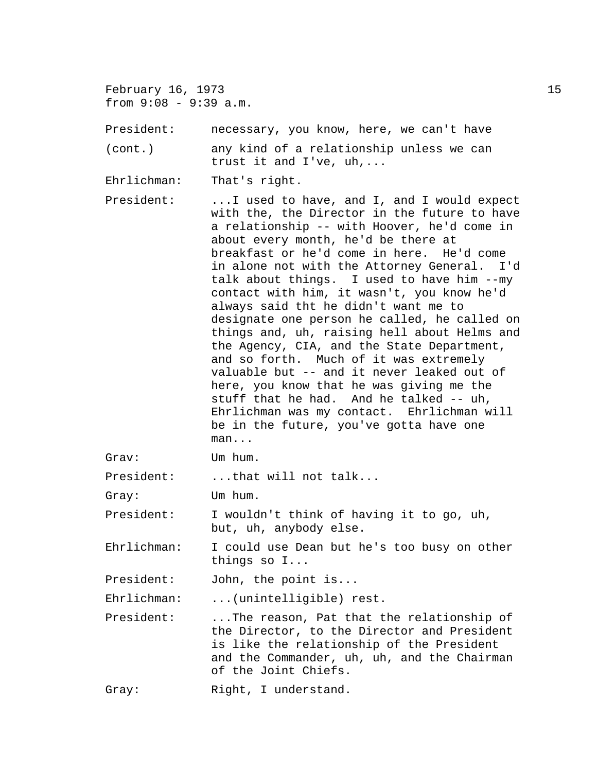February 16, 1973 15 from 9:08 - 9:39 a.m.

President: necessary, you know, here, we can't have

(cont.) any kind of a relationship unless we can trust it and I've, uh,...

Ehrlichman: That's right.

President: ...I used to have, and I, and I would expect with the, the Director in the future to have a relationship -- with Hoover, he'd come in about every month, he'd be there at breakfast or he'd come in here. He'd come in alone not with the Attorney General. I'd talk about things. I used to have him --my contact with him, it wasn't, you know he'd always said tht he didn't want me to designate one person he called, he called on things and, uh, raising hell about Helms and the Agency, CIA, and the State Department, and so forth. Much of it was extremely valuable but -- and it never leaked out of here, you know that he was giving me the stuff that he had. And he talked -- uh, Ehrlichman was my contact. Ehrlichman will be in the future, you've gotta have one man...

Grav: Um hum.

President: ...that will not talk...

Gray: Um hum.

President: I wouldn't think of having it to go, uh, but, uh, anybody else.

Ehrlichman: I could use Dean but he's too busy on other things so I...

President: John, the point is...

Ehrlichman: ...(unintelligible) rest.

President: ...The reason, Pat that the relationship of the Director, to the Director and President is like the relationship of the President and the Commander, uh, uh, and the Chairman of the Joint Chiefs.

Gray: Right, I understand.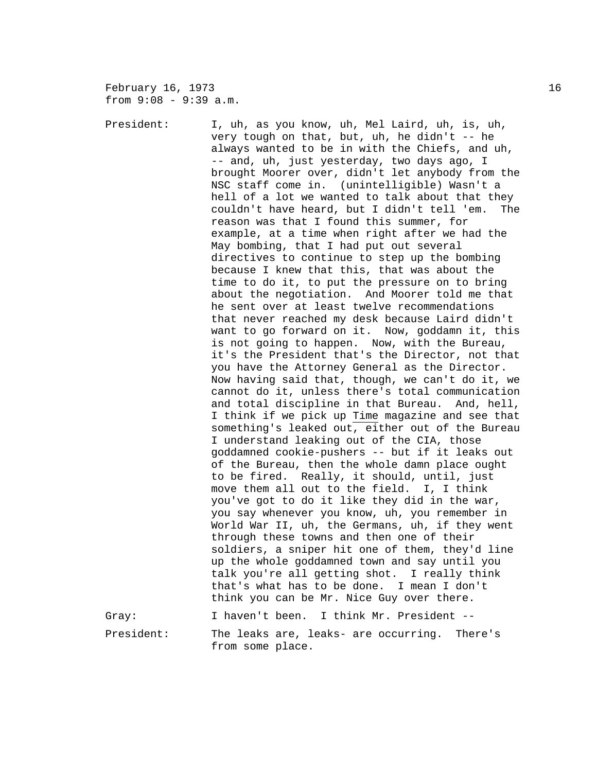February 16, 1973 16 from 9:08 - 9:39 a.m.

President: I, uh, as you know, uh, Mel Laird, uh, is, uh, very tough on that, but, uh, he didn't -- he always wanted to be in with the Chiefs, and uh, -- and, uh, just yesterday, two days ago, I brought Moorer over, didn't let anybody from the NSC staff come in. (unintelligible) Wasn't a hell of a lot we wanted to talk about that they couldn't have heard, but I didn't tell 'em. The reason was that I found this summer, for example, at a time when right after we had the May bombing, that I had put out several directives to continue to step up the bombing because I knew that this, that was about the time to do it, to put the pressure on to bring about the negotiation. And Moorer told me that he sent over at least twelve recommendations that never reached my desk because Laird didn't want to go forward on it. Now, goddamn it, this is not going to happen. Now, with the Bureau, it's the President that's the Director, not that you have the Attorney General as the Director. Now having said that, though, we can't do it, we cannot do it, unless there's total communication and total discipline in that Bureau. And, hell, I think if we pick up Time magazine and see that something's leaked out, either out of the Bureau I understand leaking out of the CIA, those goddamned cookie-pushers -- but if it leaks out of the Bureau, then the whole damn place ought to be fired. Really, it should, until, just move them all out to the field. I, I think you've got to do it like they did in the war, you say whenever you know, uh, you remember in World War II, uh, the Germans, uh, if they went through these towns and then one of their soldiers, a sniper hit one of them, they'd line up the whole goddamned town and say until you talk you're all getting shot. I really think that's what has to be done. I mean I don't think you can be Mr. Nice Guy over there. Gray: I haven't been. I think Mr. President -- President: The leaks are, leaks- are occurring. There's from some place.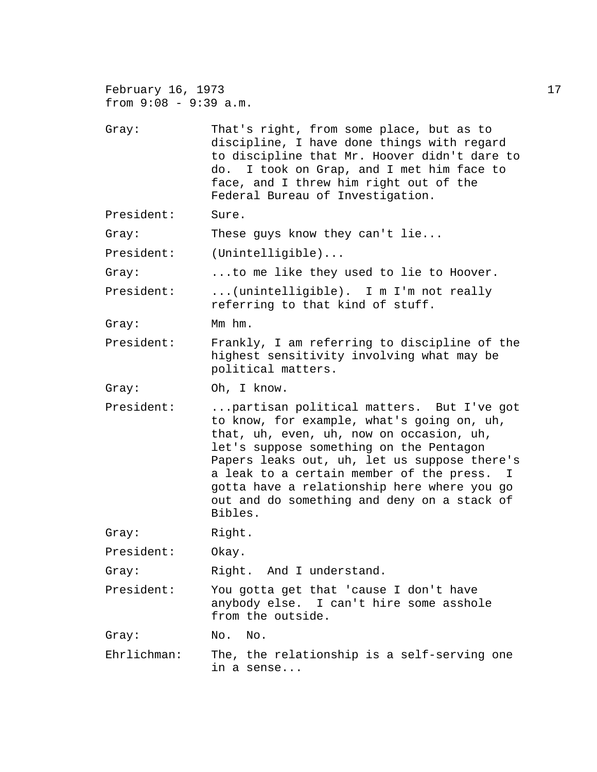| February 16, 1973<br>from $9:08 - 9:39$ a.m. |                                                                                                                                                                                                                                                                                                                                                                                      | 17 |
|----------------------------------------------|--------------------------------------------------------------------------------------------------------------------------------------------------------------------------------------------------------------------------------------------------------------------------------------------------------------------------------------------------------------------------------------|----|
| Gray:                                        | That's right, from some place, but as to<br>discipline, I have done things with regard<br>to discipline that Mr. Hoover didn't dare to<br>do. I took on Grap, and I met him face to<br>face, and I threw him right out of the<br>Federal Bureau of Investigation.                                                                                                                    |    |
| President:                                   | Sure.                                                                                                                                                                                                                                                                                                                                                                                |    |
| Gray:                                        | These guys know they can't lie                                                                                                                                                                                                                                                                                                                                                       |    |
| President:                                   | (Unintelligible)                                                                                                                                                                                                                                                                                                                                                                     |    |
| Gray:                                        | to me like they used to lie to Hoover.                                                                                                                                                                                                                                                                                                                                               |    |
| President:                                   | (unintelligible). I m I'm not really<br>referring to that kind of stuff.                                                                                                                                                                                                                                                                                                             |    |
| Gray:                                        | Mm hm.                                                                                                                                                                                                                                                                                                                                                                               |    |
| President:                                   | Frankly, I am referring to discipline of the<br>highest sensitivity involving what may be<br>political matters.                                                                                                                                                                                                                                                                      |    |
| Gray:                                        | Oh, I know.                                                                                                                                                                                                                                                                                                                                                                          |    |
| President:                                   | partisan political matters. But I've got<br>to know, for example, what's going on, uh,<br>that, uh, even, uh, now on occasion, uh,<br>let's suppose something on the Pentagon<br>Papers leaks out, uh, let us suppose there's<br>a leak to a certain member of the press. I<br>gotta have a relationship here where you go<br>out and do something and deny on a stack of<br>Bibles. |    |
| Gray:                                        | Right.                                                                                                                                                                                                                                                                                                                                                                               |    |
| President:                                   | Okay.                                                                                                                                                                                                                                                                                                                                                                                |    |
| Gray:                                        | Right. And I understand.                                                                                                                                                                                                                                                                                                                                                             |    |
| President:                                   | You gotta get that 'cause I don't have<br>anybody else. I can't hire some asshole<br>from the outside.                                                                                                                                                                                                                                                                               |    |
| Gray:                                        | No. No.                                                                                                                                                                                                                                                                                                                                                                              |    |
| Ehrlichman:                                  | The, the relationship is a self-serving one<br>in a sense                                                                                                                                                                                                                                                                                                                            |    |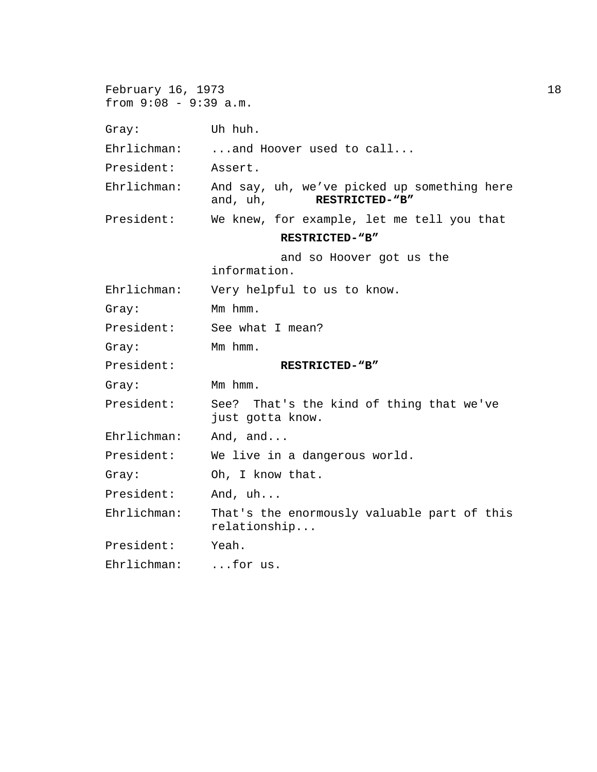| February 16, 1973<br>from $9:08 - 9:39$ a.m. |                                                                           | 18 |
|----------------------------------------------|---------------------------------------------------------------------------|----|
| Gray:                                        | Uh huh.                                                                   |    |
| Ehrlichman:                                  | and Hoover used to call                                                   |    |
| President:                                   | Assert.                                                                   |    |
| $Ehrlichman$ :                               | And say, uh, we've picked up something here<br>and, uh,<br>RESTRICTED-"B" |    |
| President:                                   | We knew, for example, let me tell you that                                |    |
|                                              | RESTRICTED-"B"                                                            |    |
|                                              | and so Hoover got us the<br>information.                                  |    |
| Ehrlichman:                                  | Very helpful to us to know.                                               |    |
| Gray:                                        | Mm hmm.                                                                   |    |
| President:                                   | See what I mean?                                                          |    |
| Gray:                                        | Mm hmm.                                                                   |    |
| President:                                   | RESTRICTED-"B"                                                            |    |
| Gray:                                        | Mm hmm.                                                                   |    |
| President:                                   | See? That's the kind of thing that we've<br>just gotta know.              |    |
| Ehrlichman:                                  | And, and                                                                  |    |
| President:                                   | We live in a dangerous world.                                             |    |
| Gray:                                        | Oh, I know that.                                                          |    |
| President:                                   | And, uh                                                                   |    |
| Ehrlichman:                                  | That's the enormously valuable part of this<br>relationship               |    |
| President:                                   | Yeah.                                                                     |    |
| Ehrlichman:                                  | for us.                                                                   |    |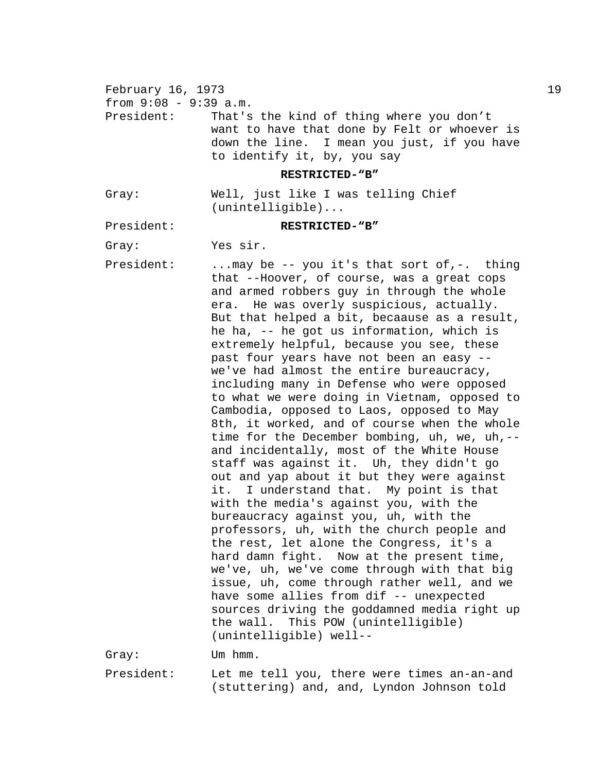February 16, 1973 19. The contract of the state of the state of the state of the state of the state of the state of the state of the state of the state of the state of the state of the state of the state of the state of th from  $9:08 - 9:39$  a.m. President: That's the kind of thing where you don't want to have that done by Felt or whoever is down the line. I mean you just, if you have to identify it, by, you say **RESTRICTED-"B"** Gray: Well, just like I was telling Chief (unintelligible)... President: **RESTRICTED-"B"** Gray: Yes sir. President: ... may be -- you it's that sort of,-. thing that --Hoover, of course, was a great cops and armed robbers guy in through the whole era. He was overly suspicious, actually. But that helped a bit, becaause as a result, he ha, -- he got us information, which is extremely helpful, because you see, these past four years have not been an easy - we've had almost the entire bureaucracy, including many in Defense who were opposed to what we were doing in Vietnam, opposed to Cambodia, opposed to Laos, opposed to May 8th, it worked, and of course when the whole time for the December bombing, uh, we, uh, -and incidentally, most of the White House staff was against it. Uh, they didn't go out and yap about it but they were against it. I understand that. My point is that with the media's against you, with the bureaucracy against you, uh, with the professors, uh, with the church people and the rest, let alone the Congress, it's a hard damn fight. Now at the present time, we've, uh, we've come through with that big issue, uh, come through rather well, and we have some allies from dif -- unexpected sources driving the goddamned media right up the wall. This POW (unintelligible) (unintelligible) well-- Gray: Um hmm.

President: Let me tell you, there were times an-an-and (stuttering) and, and, Lyndon Johnson told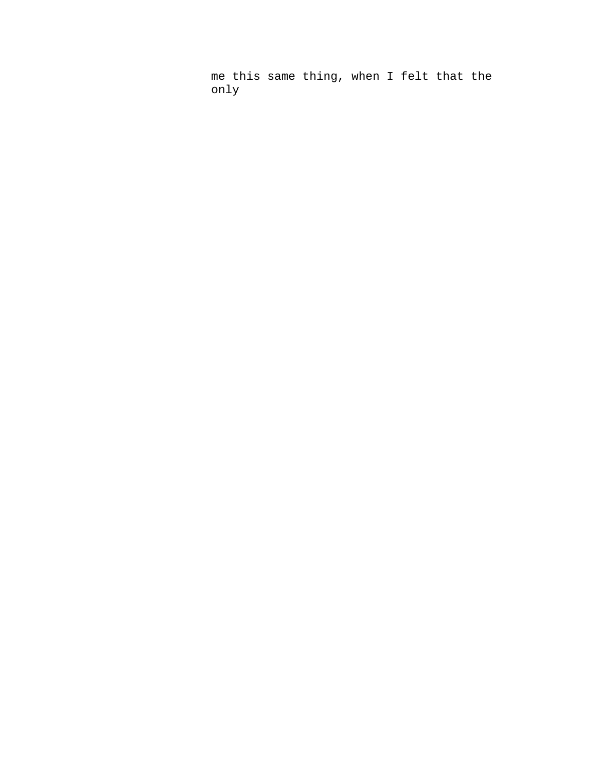me this same thing, when I felt that the only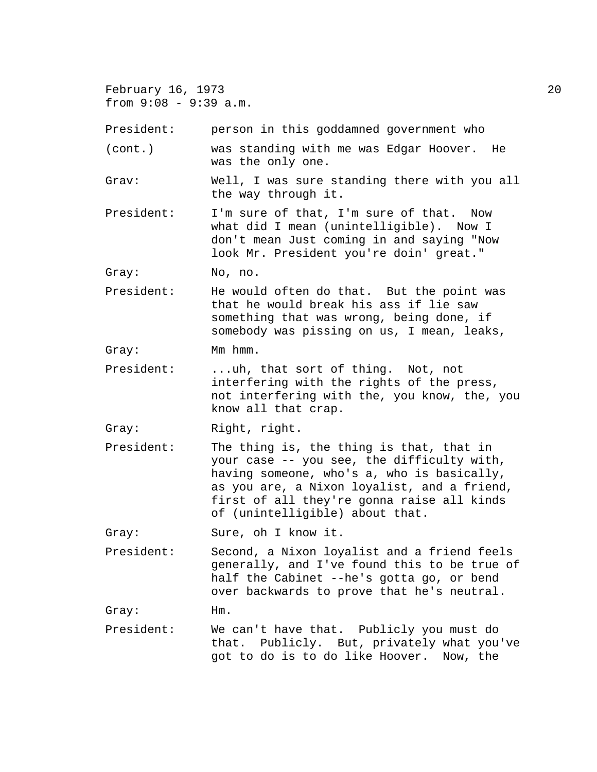February 16, 1973 20 from 9:08 - 9:39 a.m.

President: person in this goddamned government who

(cont.) was standing with me was Edgar Hoover. He was the only one.

Grav: Well, I was sure standing there with you all the way through it.

President: I'm sure of that, I'm sure of that. Now what did I mean (unintelligible). Now I don't mean Just coming in and saying "Now look Mr. President you're doin' great."

Gray: No, no.

President: He would often do that. But the point was that he would break his ass if lie saw something that was wrong, being done, if somebody was pissing on us, I mean, leaks,

Gray: Mm hmm.

- President: ...uh, that sort of thing. Not, not interfering with the rights of the press, not interfering with the, you know, the, you know all that crap.
- Gray: Right, right.
- President: The thing is, the thing is that, that in your case -- you see, the difficulty with, having someone, who's a, who is basically, as you are, a Nixon loyalist, and a friend, first of all they're gonna raise all kinds of (unintelligible) about that.

Gray: Sure, oh I know it.

President: Second, a Nixon loyalist and a friend feels generally, and I've found this to be true of half the Cabinet --he's gotta go, or bend over backwards to prove that he's neutral.

Gray: Hm.

President: We can't have that. Publicly you must do that. Publicly. But, privately what you've got to do is to do like Hoover. Now, the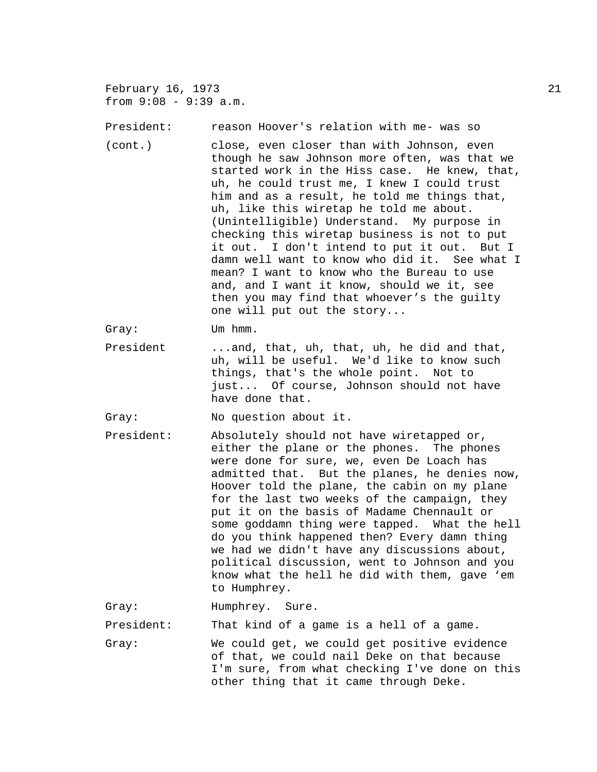February 16, 1973 21 from 9:08 - 9:39 a.m. President: reason Hoover's relation with me- was so (cont.) close, even closer than with Johnson, even though he saw Johnson more often, was that we started work in the Hiss case. He knew, that, uh, he could trust me, I knew I could trust him and as a result, he told me things that, uh, like this wiretap he told me about. (Unintelligible) Understand. My purpose in checking this wiretap business is not to put it out. I don't intend to put it out. But I damn well want to know who did it. See what I mean? I want to know who the Bureau to use and, and I want it know, should we it, see then you may find that whoever's the guilty one will put out the story... Gray: Um hmm. President ...and, that, uh, that, uh, he did and that, uh, will be useful. We'd like to know such things, that's the whole point. Not to just... Of course, Johnson should not have have done that. Gray: No question about it. President: Absolutely should not have wiretapped or, either the plane or the phones. The phones were done for sure, we, even De Loach has admitted that. But the planes, he denies now, Hoover told the plane, the cabin on my plane for the last two weeks of the campaign, they put it on the basis of Madame Chennault or some goddamn thing were tapped. What the hell do you think happened then? Every damn thing we had we didn't have any discussions about, political discussion, went to Johnson and you know what the hell he did with them, gave 'em to Humphrey. Gray: Humphrey. Sure. President: That kind of a game is a hell of a game. Gray: We could get, we could get positive evidence of that, we could nail Deke on that because I'm sure, from what checking I've done on this other thing that it came through Deke.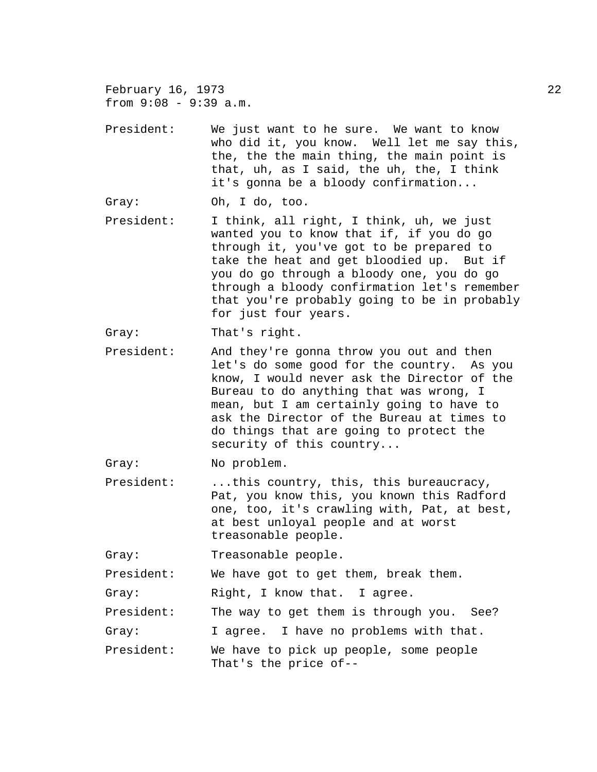February 16, 1973 22 from 9:08 - 9:39 a.m.

President: We just want to he sure. We want to know who did it, you know. Well let me say this, the, the the main thing, the main point is that, uh, as I said, the uh, the, I think it's gonna be a bloody confirmation...

Gray: Oh, I do, too.

President: I think, all right, I think, uh, we just wanted you to know that if, if you do go through it, you've got to be prepared to take the heat and get bloodied up. But if you do go through a bloody one, you do go through a bloody confirmation let's remember that you're probably going to be in probably for just four years.

Gray: That's right.

President: And they're gonna throw you out and then let's do some good for the country. As you know, I would never ask the Director of the Bureau to do anything that was wrong, I mean, but I am certainly going to have to ask the Director of the Bureau at times to do things that are going to protect the security of this country...

Gray: No problem.

President: ...this country, this, this bureaucracy, Pat, you know this, you known this Radford one, too, it's crawling with, Pat, at best, at best unloyal people and at worst treasonable people.

Gray: Treasonable people.

President: We have got to get them, break them.

Gray: Right, I know that. I agree.

President: The way to get them is through you. See?

Gray: I agree. I have no problems with that.

President: We have to pick up people, some people That's the price of--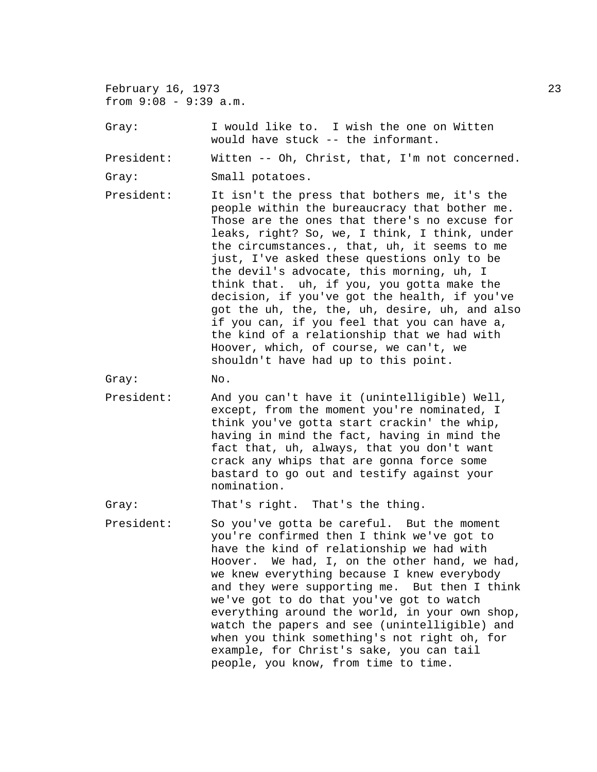February 16, 1973 23 from 9:08 - 9:39 a.m.

Gray: I would like to. I wish the one on Witten would have stuck -- the informant.

President: Witten -- Oh, Christ, that, I'm not concerned.

Gray: Small potatoes.

President: It isn't the press that bothers me, it's the people within the bureaucracy that bother me. Those are the ones that there's no excuse for leaks, right? So, we, I think, I think, under the circumstances., that, uh, it seems to me just, I've asked these questions only to be the devil's advocate, this morning, uh, I think that. uh, if you, you gotta make the decision, if you've got the health, if you've got the uh, the, the, uh, desire, uh, and also if you can, if you feel that you can have a, the kind of a relationship that we had with Hoover, which, of course, we can't, we shouldn't have had up to this point.

Gray: No.

President: And you can't have it (unintelligible) Well, except, from the moment you're nominated, I think you've gotta start crackin' the whip, having in mind the fact, having in mind the fact that, uh, always, that you don't want crack any whips that are gonna force some bastard to go out and testify against your nomination.

Gray: That's right. That's the thing.

President: So you've gotta be careful. But the moment you're confirmed then I think we've got to have the kind of relationship we had with Hoover. We had, I, on the other hand, we had, we knew everything because I knew everybody and they were supporting me. But then I think we've got to do that you've got to watch everything around the world, in your own shop, watch the papers and see (unintelligible) and when you think something's not right oh, for example, for Christ's sake, you can tail people, you know, from time to time.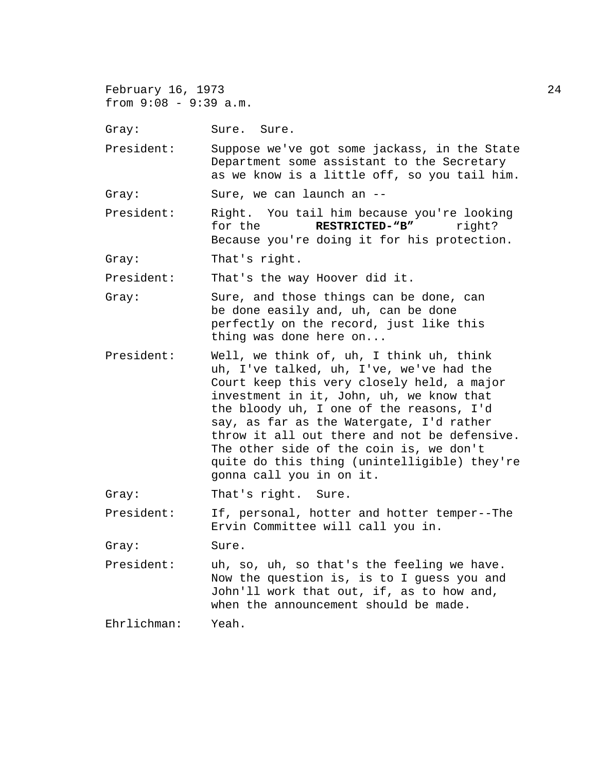February 16, 1973 24 from 9:08 - 9:39 a.m.

Gray: Sure. Sure.

President: Suppose we've got some jackass, in the State Department some assistant to the Secretary as we know is a little off, so you tail him.

Gray: Sure, we can launch an --

President: Right. You tail him because you're looking for the **RESTRICTED-"B"** right? Because you're doing it for his protection.

Gray: That's right.

President: That's the way Hoover did it.

- Gray: Sure, and those things can be done, can be done easily and, uh, can be done perfectly on the record, just like this thing was done here on...
- President: Well, we think of, uh, I think uh, think uh, I've talked, uh, I've, we've had the Court keep this very closely held, a major investment in it, John, uh, we know that the bloody uh, I one of the reasons, I'd say, as far as the Watergate, I'd rather throw it all out there and not be defensive. The other side of the coin is, we don't quite do this thing (unintelligible) they're gonna call you in on it.

Gray: That's right. Sure.

President: If, personal, hotter and hotter temper--The Ervin Committee will call you in.

Gray: Sure.

President: uh, so, uh, so that's the feeling we have. Now the question is, is to I guess you and John'll work that out, if, as to how and, when the announcement should be made.

Ehrlichman: Yeah.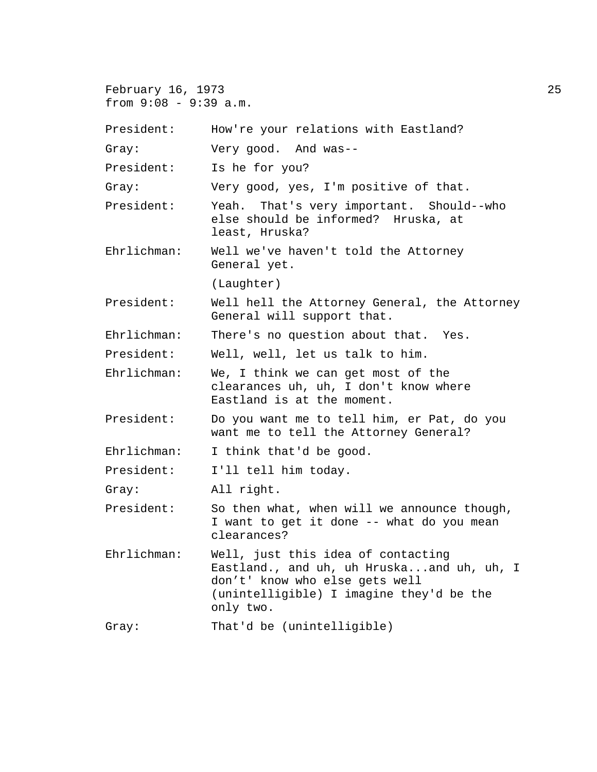February 16, 1973 25 from 9:08 - 9:39 a.m. President: How're your relations with Eastland? Gray: Very good. And was-- President: Is he for you? Gray: Very good, yes, I'm positive of that. President: Yeah. That's very important. Should--who else should be informed? Hruska, at least, Hruska? Ehrlichman: Well we've haven't told the Attorney General yet. (Laughter) President: Well hell the Attorney General, the Attorney General will support that. Ehrlichman: There's no question about that. Yes. President: Well, well, let us talk to him. Ehrlichman: We, I think we can get most of the clearances uh, uh, I don't know where Eastland is at the moment. President: Do you want me to tell him, er Pat, do you want me to tell the Attorney General? Ehrlichman: I think that'd be good. President: I'll tell him today. Gray: All right. President: So then what, when will we announce though, I want to get it done -- what do you mean clearances? Ehrlichman: Well, just this idea of contacting Eastland., and uh, uh Hruska...and uh, uh, I don't' know who else gets well (unintelligible) I imagine they'd be the only two. Gray: That'd be (unintelligible)